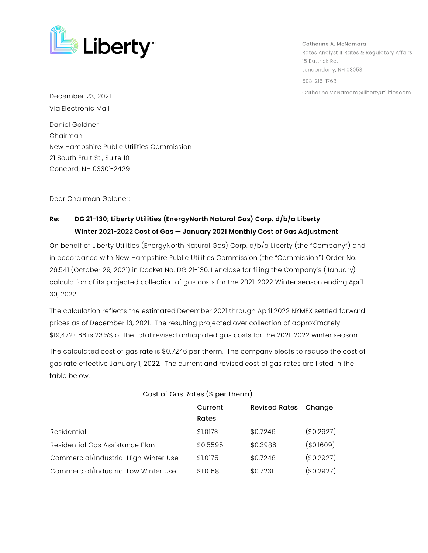

**Catherine A. McNamara**  Rates Analyst II, Rates & Regulatory Affairs 15 Buttrick Rd. Londonderry, NH 03053 603-216-1768 Catherine.McNamara@libertyutilities.com

December 23, 2021 Via Electronic Mail

Daniel Goldner Chairman New Hampshire Public Utilities Commission 21 South Fruit St., Suite 10 Concord, NH 03301-2429

Dear Chairman Goldner:

## **Re: DG 21-130; Liberty Utilities (EnergyNorth Natural Gas) Corp. d/b/a Liberty**  Winter 2021-2022 Cost of Gas - January 2021 Monthly Cost of Gas Adjustment

On behalf of Liberty Utilities (EnergyNorth Natural Gas) Corp. d/b/a Liberty (the "Company") and in accordance with New Hampshire Public Utilities Commission (the "Commission") Order No. 26,541 (October 29, 2021) in Docket No. DG 21-130, I enclose for filing the Company's (January) calculation of its projected collection of gas costs for the 2021-2022 Winter season ending April 30, 2022.

The calculation reflects the estimated December 2021 through April 2022 NYMEX settled forward prices as of December 13, 2021. The resulting projected over collection of approximately \$19,472,066 is 23.5% of the total revised anticipated gas costs for the 2021-2022 winter season.

The calculated cost of gas rate is \$0.7246 per therm. The company elects to reduce the cost of gas rate effective January l, 2022. The current and revised cost of gas rates are listed in the table below.

|                                       | Current  | <b>Revised Rates</b> | Change        |
|---------------------------------------|----------|----------------------|---------------|
|                                       | Rates    |                      |               |
| Residential                           | \$1.0173 | \$0.7246             | (\$0.2927)    |
| Residential Gas Assistance Plan       | \$0.5595 | \$0.3986             | $($ \$0.1609) |
| Commercial/Industrial High Winter Use | \$1.0175 | \$0.7248             | (\$0.2927)    |
| Commercial/Industrial Low Winter Use  | \$1.0158 | \$0.7231             | (\$0.2927)    |

## **Cost of Gas Rates** (\$ **per therm)**